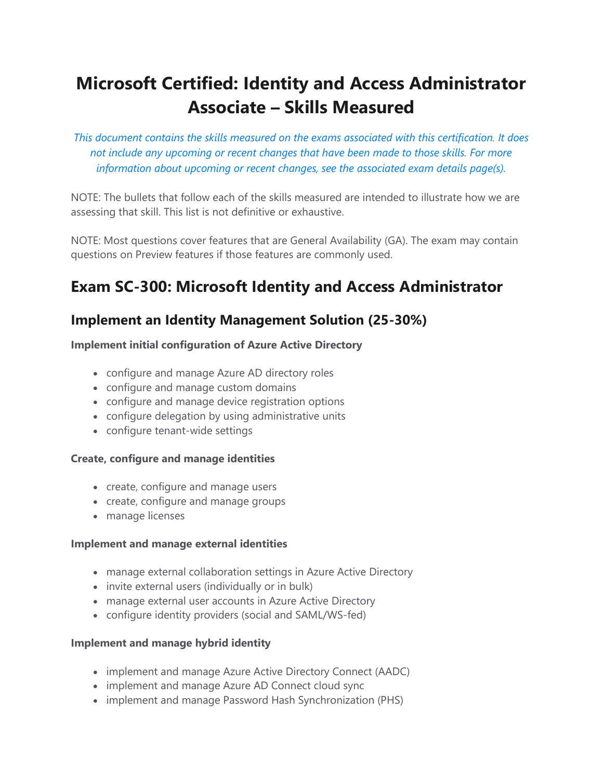# **Microsoft Certified: Identity and Access Administrator Associate – Skills Measured**

*This document contains the skills measured on the exams associated with this certification. It does not include any upcoming or recent changes that have been made to those skills. For more information about upcoming or recent changes, see the associated exam details page(s).*

NOTE: The bullets that follow each of the skills measured are intended to illustrate how we are assessing that skill. This list is not definitive or exhaustive.

NOTE: Most questions cover features that are General Availability (GA). The exam may contain questions on Preview features if those features are commonly used.

## **Exam SC-300: Microsoft Identity and Access Administrator**

## **Implement an Identity Management Solution (25-30%)**

#### **Implement initial configuration of Azure Active Directory**

- configure and manage Azure AD directory roles
- configure and manage custom domains
- configure and manage device registration options
- configure delegation by using administrative units
- configure tenant-wide settings

#### **Create, configure and manage identities**

- create, configure and manage users
- create, configure and manage groups
- manage licenses

#### **Implement and manage external identities**

- manage external collaboration settings in Azure Active Directory
- invite external users (individually or in bulk)
- manage external user accounts in Azure Active Directory
- configure identity providers (social and SAML/WS-fed)

#### **Implement and manage hybrid identity**

- implement and manage Azure Active Directory Connect (AADC)
- implement and manage Azure AD Connect cloud sync
- implement and manage Password Hash Synchronization (PHS)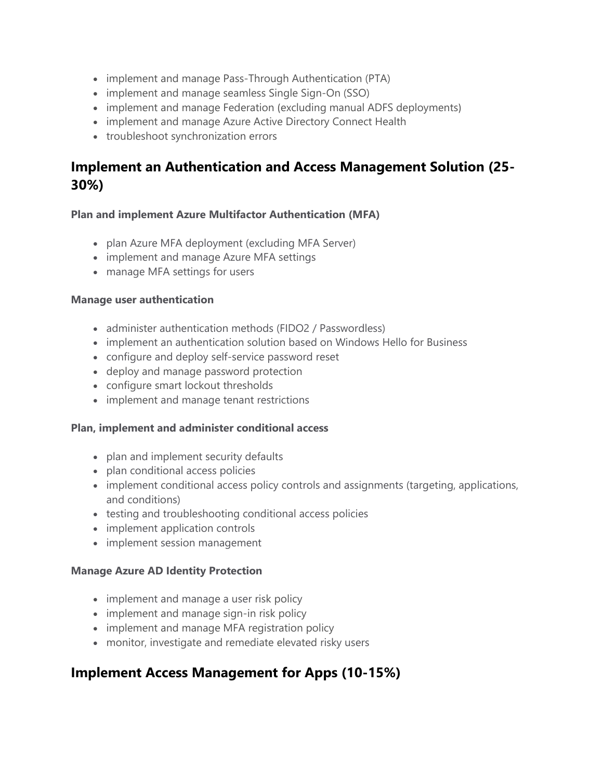- implement and manage Pass-Through Authentication (PTA)
- implement and manage seamless Single Sign-On (SSO)
- implement and manage Federation (excluding manual ADFS deployments)
- implement and manage Azure Active Directory Connect Health
- troubleshoot synchronization errors

## **Implement an Authentication and Access Management Solution (25- 30%)**

#### **Plan and implement Azure Multifactor Authentication (MFA)**

- plan Azure MFA deployment (excluding MFA Server)
- implement and manage Azure MFA settings
- manage MFA settings for users

#### **Manage user authentication**

- administer authentication methods (FIDO2 / Passwordless)
- implement an authentication solution based on Windows Hello for Business
- configure and deploy self-service password reset
- deploy and manage password protection
- configure smart lockout thresholds
- implement and manage tenant restrictions

#### **Plan, implement and administer conditional access**

- plan and implement security defaults
- plan conditional access policies
- implement conditional access policy controls and assignments (targeting, applications, and conditions)
- testing and troubleshooting conditional access policies
- implement application controls
- implement session management

#### **Manage Azure AD Identity Protection**

- implement and manage a user risk policy
- implement and manage sign-in risk policy
- implement and manage MFA registration policy
- monitor, investigate and remediate elevated risky users

## **Implement Access Management for Apps (10-15%)**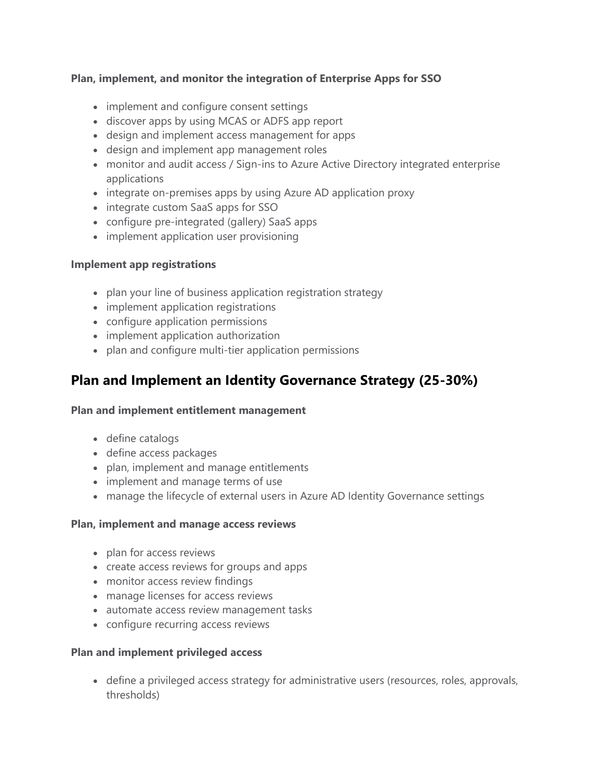#### **Plan, implement, and monitor the integration of Enterprise Apps for SSO**

- implement and configure consent settings
- discover apps by using MCAS or ADFS app report
- design and implement access management for apps
- design and implement app management roles
- monitor and audit access / Sign-ins to Azure Active Directory integrated enterprise applications
- integrate on-premises apps by using Azure AD application proxy
- integrate custom SaaS apps for SSO
- configure pre-integrated (gallery) SaaS apps
- implement application user provisioning

#### **Implement app registrations**

- plan your line of business application registration strategy
- implement application registrations
- configure application permissions
- implement application authorization
- plan and configure multi-tier application permissions

## **Plan and Implement an Identity Governance Strategy (25-30%)**

#### **Plan and implement entitlement management**

- define catalogs
- define access packages
- plan, implement and manage entitlements
- implement and manage terms of use
- manage the lifecycle of external users in Azure AD Identity Governance settings

#### **Plan, implement and manage access reviews**

- plan for access reviews
- create access reviews for groups and apps
- monitor access review findings
- manage licenses for access reviews
- automate access review management tasks
- configure recurring access reviews

#### **Plan and implement privileged access**

 define a privileged access strategy for administrative users (resources, roles, approvals, thresholds)